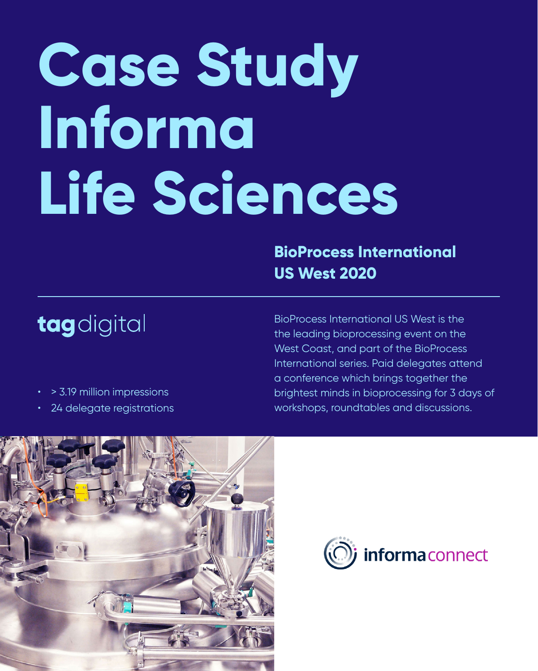# **Case Study Informa Life Sciences**

BioProcess International US West is the the leading bioprocessing event on the West Coast, and part of the BioProcess International series. Paid delegates attend a conference which brings together the brightest minds in bioprocessing for 3 days of workshops, roundtables and discussions.





## **BioProcess International US West 2020**



- > 3.19 million impressions
- 24 delegate registrations